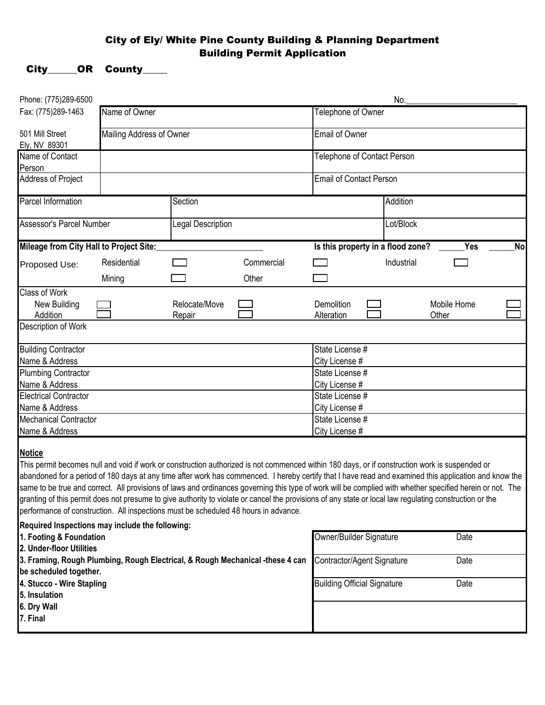## City of Ely/ White Pine County Building & Planning Department Building Permit Application

## City\_\_\_\_\_OR County\_\_\_\_

| Phone: (775)289-6500                                                                                    |                            |                   |                                                                                                                                                                                                                                                                                                                                                                                                                                                                                                                                                                                                                                 |                                    | No.                |             |           |  |
|---------------------------------------------------------------------------------------------------------|----------------------------|-------------------|---------------------------------------------------------------------------------------------------------------------------------------------------------------------------------------------------------------------------------------------------------------------------------------------------------------------------------------------------------------------------------------------------------------------------------------------------------------------------------------------------------------------------------------------------------------------------------------------------------------------------------|------------------------------------|--------------------|-------------|-----------|--|
| Fax: (775)289-1463                                                                                      | Name of Owner              |                   |                                                                                                                                                                                                                                                                                                                                                                                                                                                                                                                                                                                                                                 |                                    | Telephone of Owner |             |           |  |
| 501 Mill Street<br>Ely, NV 89301                                                                        | Mailing Address of Owner   |                   |                                                                                                                                                                                                                                                                                                                                                                                                                                                                                                                                                                                                                                 | Email of Owner                     |                    |             |           |  |
| Name of Contact                                                                                         |                            |                   |                                                                                                                                                                                                                                                                                                                                                                                                                                                                                                                                                                                                                                 | Telephone of Contact Person        |                    |             |           |  |
| Person                                                                                                  |                            |                   |                                                                                                                                                                                                                                                                                                                                                                                                                                                                                                                                                                                                                                 |                                    |                    |             |           |  |
| <b>Address of Project</b>                                                                               |                            |                   |                                                                                                                                                                                                                                                                                                                                                                                                                                                                                                                                                                                                                                 | <b>Email of Contact Person</b>     |                    |             |           |  |
| Parcel Information                                                                                      |                            | Section           |                                                                                                                                                                                                                                                                                                                                                                                                                                                                                                                                                                                                                                 | Addition                           |                    |             |           |  |
| Assessor's Parcel Number                                                                                |                            | Legal Description |                                                                                                                                                                                                                                                                                                                                                                                                                                                                                                                                                                                                                                 |                                    | Lot/Block          |             |           |  |
| Mileage from City Hall to Project Site:                                                                 |                            |                   |                                                                                                                                                                                                                                                                                                                                                                                                                                                                                                                                                                                                                                 | Is this property in a flood zone?  |                    | <b>Yes</b>  | <b>No</b> |  |
| Proposed Use:                                                                                           | Residential                |                   | Commercial                                                                                                                                                                                                                                                                                                                                                                                                                                                                                                                                                                                                                      |                                    | Industrial         |             |           |  |
|                                                                                                         | Mining                     |                   | Other                                                                                                                                                                                                                                                                                                                                                                                                                                                                                                                                                                                                                           |                                    |                    |             |           |  |
| <b>Class of Work</b>                                                                                    |                            |                   |                                                                                                                                                                                                                                                                                                                                                                                                                                                                                                                                                                                                                                 |                                    |                    |             |           |  |
| New Building                                                                                            |                            | Relocate/Move     |                                                                                                                                                                                                                                                                                                                                                                                                                                                                                                                                                                                                                                 | Demolition                         |                    | Mobile Home |           |  |
| Addition                                                                                                |                            | Repair            |                                                                                                                                                                                                                                                                                                                                                                                                                                                                                                                                                                                                                                 | Alteration                         |                    | Other       |           |  |
| Description of Work                                                                                     |                            |                   |                                                                                                                                                                                                                                                                                                                                                                                                                                                                                                                                                                                                                                 |                                    |                    |             |           |  |
| <b>Building Contractor</b>                                                                              |                            |                   |                                                                                                                                                                                                                                                                                                                                                                                                                                                                                                                                                                                                                                 | State License #                    |                    |             |           |  |
| Name & Address                                                                                          |                            |                   |                                                                                                                                                                                                                                                                                                                                                                                                                                                                                                                                                                                                                                 | City License #                     |                    |             |           |  |
| <b>Plumbing Contractor</b>                                                                              |                            |                   |                                                                                                                                                                                                                                                                                                                                                                                                                                                                                                                                                                                                                                 | State License #                    |                    |             |           |  |
| Name & Address                                                                                          |                            |                   |                                                                                                                                                                                                                                                                                                                                                                                                                                                                                                                                                                                                                                 | City License #                     |                    |             |           |  |
| <b>Electrical Contractor</b>                                                                            |                            |                   |                                                                                                                                                                                                                                                                                                                                                                                                                                                                                                                                                                                                                                 | State License #                    |                    |             |           |  |
| Name & Address                                                                                          |                            |                   |                                                                                                                                                                                                                                                                                                                                                                                                                                                                                                                                                                                                                                 | City License #                     |                    |             |           |  |
| <b>Mechanical Contractor</b>                                                                            |                            |                   |                                                                                                                                                                                                                                                                                                                                                                                                                                                                                                                                                                                                                                 | State License #                    |                    |             |           |  |
| Name & Address                                                                                          |                            |                   |                                                                                                                                                                                                                                                                                                                                                                                                                                                                                                                                                                                                                                 | City License #                     |                    |             |           |  |
| <b>Notice</b><br>performance of construction. All inspections must be scheduled 48 hours in advance.    |                            |                   | This permit becomes null and void if work or construction authorized is not commenced within 180 days, or if construction work is suspended or<br>abandoned for a period of 180 days at any time after work has commenced. I hereby certify that I have read and examined this application and know the<br>same to be true and correct. All provisions of laws and ordinances governing this type of work will be complied with whether specified herein or not. The<br>granting of this permit does not presume to give authority to violate or cancel the provisions of any state or local law regulating construction or the |                                    |                    |             |           |  |
| Required Inspections may include the following:                                                         |                            |                   |                                                                                                                                                                                                                                                                                                                                                                                                                                                                                                                                                                                                                                 |                                    |                    |             |           |  |
| 1. Footing & Foundation<br>2. Under-floor Utilities                                                     |                            |                   |                                                                                                                                                                                                                                                                                                                                                                                                                                                                                                                                                                                                                                 | Owner/Builder Signature            |                    | Date        |           |  |
| 3. Framing, Rough Plumbing, Rough Electrical, & Rough Mechanical -these 4 can<br>be scheduled together. | Contractor/Agent Signature |                   | Date                                                                                                                                                                                                                                                                                                                                                                                                                                                                                                                                                                                                                            |                                    |                    |             |           |  |
| 4. Stucco - Wire Stapling                                                                               |                            |                   |                                                                                                                                                                                                                                                                                                                                                                                                                                                                                                                                                                                                                                 | <b>Building Official Signature</b> |                    | Date        |           |  |
| 5. Insulation                                                                                           |                            |                   |                                                                                                                                                                                                                                                                                                                                                                                                                                                                                                                                                                                                                                 |                                    |                    |             |           |  |
| 6. Dry Wall<br>7. Final                                                                                 |                            |                   |                                                                                                                                                                                                                                                                                                                                                                                                                                                                                                                                                                                                                                 |                                    |                    |             |           |  |
|                                                                                                         |                            |                   |                                                                                                                                                                                                                                                                                                                                                                                                                                                                                                                                                                                                                                 |                                    |                    |             |           |  |